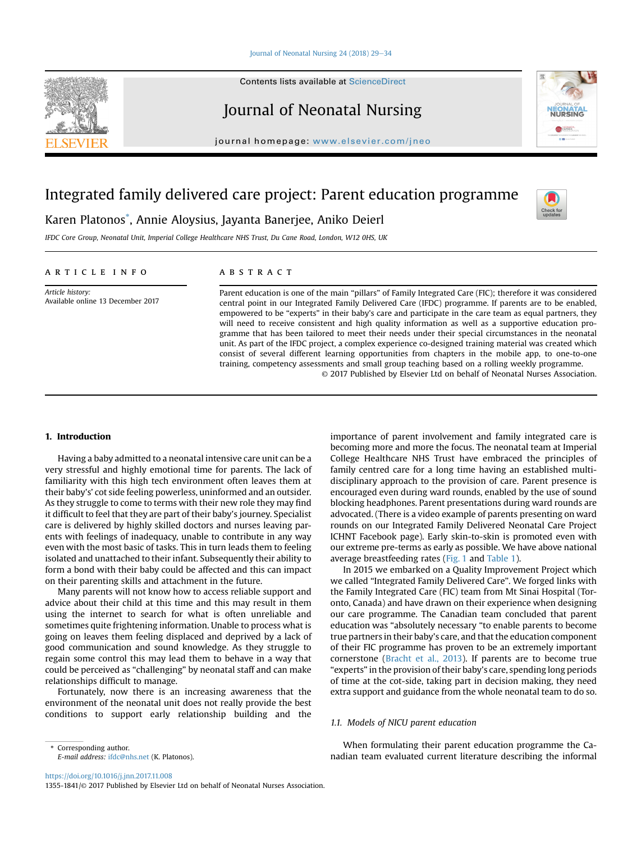## [Journal of Neonatal Nursing 24 \(2018\) 29](https://doi.org/10.1016/j.jnn.2017.11.008)-[34](https://doi.org/10.1016/j.jnn.2017.11.008)

Contents lists available at ScienceDirect

# Journal of Neonatal Nursing

journal homepage: <www.elsevier.com/jneo>

# Integrated family delivered care project: Parent education programme



IFDC Core Group, Neonatal Unit, Imperial College Healthcare NHS Trust, Du Cane Road, London, W12 0HS, UK

## article info

Article history: Available online 13 December 2017

# **ABSTRACT**

Parent education is one of the main "pillars" of Family Integrated Care (FIC); therefore it was considered central point in our Integrated Family Delivered Care (IFDC) programme. If parents are to be enabled, empowered to be "experts" in their baby's care and participate in the care team as equal partners, they will need to receive consistent and high quality information as well as a supportive education programme that has been tailored to meet their needs under their special circumstances in the neonatal unit. As part of the IFDC project, a complex experience co-designed training material was created which consist of several different learning opportunities from chapters in the mobile app, to one-to-one training, competency assessments and small group teaching based on a rolling weekly programme. © 2017 Published by Elsevier Ltd on behalf of Neonatal Nurses Association.

# 1. Introduction

Having a baby admitted to a neonatal intensive care unit can be a very stressful and highly emotional time for parents. The lack of familiarity with this high tech environment often leaves them at their baby's' cot side feeling powerless, uninformed and an outsider. As they struggle to come to terms with their new role they may find it difficult to feel that they are part of their baby's journey. Specialist care is delivered by highly skilled doctors and nurses leaving parents with feelings of inadequacy, unable to contribute in any way even with the most basic of tasks. This in turn leads them to feeling isolated and unattached to their infant. Subsequently their ability to form a bond with their baby could be affected and this can impact on their parenting skills and attachment in the future.

Many parents will not know how to access reliable support and advice about their child at this time and this may result in them using the internet to search for what is often unreliable and sometimes quite frightening information. Unable to process what is going on leaves them feeling displaced and deprived by a lack of good communication and sound knowledge. As they struggle to regain some control this may lead them to behave in a way that could be perceived as "challenging" by neonatal staff and can make relationships difficult to manage.

Fortunately, now there is an increasing awareness that the environment of the neonatal unit does not really provide the best conditions to support early relationship building and the

importance of parent involvement and family integrated care is becoming more and more the focus. The neonatal team at Imperial College Healthcare NHS Trust have embraced the principles of family centred care for a long time having an established multidisciplinary approach to the provision of care. Parent presence is encouraged even during ward rounds, enabled by the use of sound blocking headphones. Parent presentations during ward rounds are advocated. (There is a video example of parents presenting on ward rounds on our Integrated Family Delivered Neonatal Care Project ICHNT Facebook page). Early skin-to-skin is promoted even with our extreme pre-terms as early as possible. We have above national average breastfeeding rates ([Fig. 1](#page-1-0) and [Table 1](#page-1-0)).

In 2015 we embarked on a Quality Improvement Project which we called "Integrated Family Delivered Care". We forged links with the Family Integrated Care (FIC) team from Mt Sinai Hospital (Toronto, Canada) and have drawn on their experience when designing our care programme. The Canadian team concluded that parent education was "absolutely necessary "to enable parents to become true partners in their baby's care, and that the education component of their FIC programme has proven to be an extremely important cornerstone ([Bracht et al., 2013\)](#page-5-0). If parents are to become true "experts" in the provision of their baby's care, spending long periods of time at the cot-side, taking part in decision making, they need extra support and guidance from the whole neonatal team to do so.

# 1.1. Models of NICU parent education

When formulating their parent education programme the Canadian team evaluated current literature describing the informal

<https://doi.org/10.1016/j.jnn.2017.11.008>

1355-1841/© 2017 Published by Elsevier Ltd on behalf of Neonatal Nurses Association.







Corresponding author. E-mail address: [ifdc@nhs.net](mailto:ifdc@nhs.net) (K. Platonos).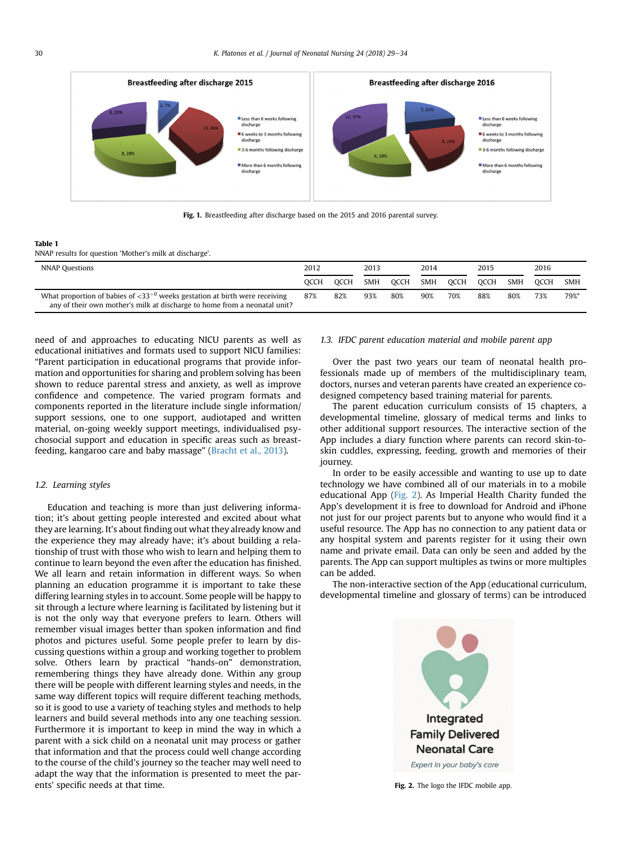<span id="page-1-0"></span>

Fig. 1. Breastfeeding after discharge based on the 2015 and 2016 parental survey.

#### Table 1

NNAP results for question 'Mother's milk at discharge'.

| <b>NNAP Questions</b>                                                                                                                                               | 2012 |      | 2013       |      | 2014       |      | 2015 |            | 2016        |            |
|---------------------------------------------------------------------------------------------------------------------------------------------------------------------|------|------|------------|------|------------|------|------|------------|-------------|------------|
|                                                                                                                                                                     | OCCH | OCCH | <b>SMH</b> | OCCH | <b>SMH</b> | OCCH | OCCH | <b>SMH</b> | <b>OCCH</b> | <b>SMH</b> |
| What proportion of babies of $\langle 33^{+0}$ weeks gestation at birth were receiving<br>any of their own mother's milk at discharge to home from a neonatal unit? | 87%  | 82%  | 93%        | 80%  | 90%        | 70%  | 88%  | 80%        | 73%         | 79%*       |

need of and approaches to educating NICU parents as well as educational initiatives and formats used to support NICU families: "Parent participation in educational programs that provide information and opportunities for sharing and problem solving has been shown to reduce parental stress and anxiety, as well as improve confidence and competence. The varied program formats and components reported in the literature include single information/ support sessions, one to one support, audiotaped and written material, on-going weekly support meetings, individualised psychosocial support and education in specific areas such as breastfeeding, kangaroo care and baby massage" [\(Bracht et al., 2013\)](#page-5-0).

# 1.2. Learning styles

Education and teaching is more than just delivering information; it's about getting people interested and excited about what they are learning. It's about finding out what they already know and the experience they may already have; it's about building a relationship of trust with those who wish to learn and helping them to continue to learn beyond the even after the education has finished. We all learn and retain information in different ways. So when planning an education programme it is important to take these differing learning styles in to account. Some people will be happy to sit through a lecture where learning is facilitated by listening but it is not the only way that everyone prefers to learn. Others will remember visual images better than spoken information and find photos and pictures useful. Some people prefer to learn by discussing questions within a group and working together to problem solve. Others learn by practical "hands-on" demonstration, remembering things they have already done. Within any group there will be people with different learning styles and needs, in the same way different topics will require different teaching methods, so it is good to use a variety of teaching styles and methods to help learners and build several methods into any one teaching session. Furthermore it is important to keep in mind the way in which a parent with a sick child on a neonatal unit may process or gather that information and that the process could well change according to the course of the child's journey so the teacher may well need to adapt the way that the information is presented to meet the parents' specific needs at that time.

# 1.3. IFDC parent education material and mobile parent app

Over the past two years our team of neonatal health professionals made up of members of the multidisciplinary team, doctors, nurses and veteran parents have created an experience codesigned competency based training material for parents.

The parent education curriculum consists of 15 chapters, a developmental timeline, glossary of medical terms and links to other additional support resources. The interactive section of the App includes a diary function where parents can record skin-toskin cuddles, expressing, feeding, growth and memories of their journey.

In order to be easily accessible and wanting to use up to date technology we have combined all of our materials in to a mobile educational App (Fig. 2). As Imperial Health Charity funded the App's development it is free to download for Android and iPhone not just for our project parents but to anyone who would find it a useful resource. The App has no connection to any patient data or any hospital system and parents register for it using their own name and private email. Data can only be seen and added by the parents. The App can support multiples as twins or more multiples can be added.

The non-interactive section of the App (educational curriculum, developmental timeline and glossary of terms) can be introduced



Fig. 2. The logo the IFDC mobile app.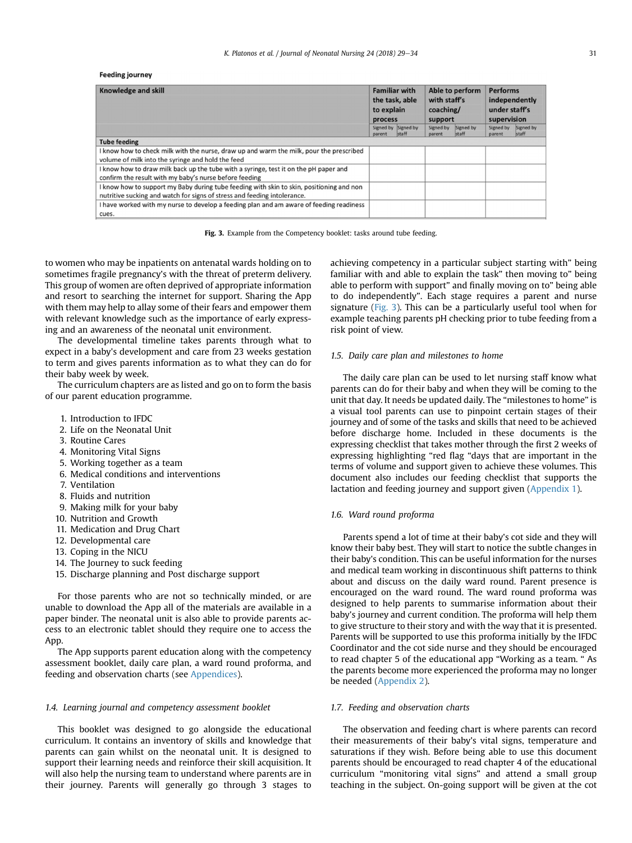#### **Feeding journey**

| <b>Knowledge and skill</b>                                                               | to explain<br>process | <b>Familiar with</b><br>the task, able | Able to perform<br>with staff's<br>coaching/<br>support |                    | <b>Performs</b><br>independently<br>under staff's<br>supervision |                    |
|------------------------------------------------------------------------------------------|-----------------------|----------------------------------------|---------------------------------------------------------|--------------------|------------------------------------------------------------------|--------------------|
|                                                                                          | parent                | Signed by Signed by<br>staff           | Signed by<br>parent                                     | Signed by<br>staff | Signed by<br>parent                                              | Signed by<br>staff |
| <b>Tube feeding</b>                                                                      |                       |                                        |                                                         |                    |                                                                  |                    |
| I know how to check milk with the nurse, draw up and warm the milk, pour the prescribed  |                       |                                        |                                                         |                    |                                                                  |                    |
| volume of milk into the syringe and hold the feed                                        |                       |                                        |                                                         |                    |                                                                  |                    |
| I know how to draw milk back up the tube with a syringe, test it on the pH paper and     |                       |                                        |                                                         |                    |                                                                  |                    |
| confirm the result with my baby's nurse before feeding                                   |                       |                                        |                                                         |                    |                                                                  |                    |
| I know how to support my Baby during tube feeding with skin to skin, positioning and non |                       |                                        |                                                         |                    |                                                                  |                    |
| nutritive sucking and watch for signs of stress and feeding intolerance.                 |                       |                                        |                                                         |                    |                                                                  |                    |
| I have worked with my nurse to develop a feeding plan and am aware of feeding readiness  |                       |                                        |                                                         |                    |                                                                  |                    |
| cues.                                                                                    |                       |                                        |                                                         |                    |                                                                  |                    |

Fig. 3. Example from the Competency booklet: tasks around tube feeding.

to women who may be inpatients on antenatal wards holding on to sometimes fragile pregnancy's with the threat of preterm delivery. This group of women are often deprived of appropriate information and resort to searching the internet for support. Sharing the App with them may help to allay some of their fears and empower them with relevant knowledge such as the importance of early expressing and an awareness of the neonatal unit environment.

The developmental timeline takes parents through what to expect in a baby's development and care from 23 weeks gestation to term and gives parents information as to what they can do for their baby week by week.

The curriculum chapters are as listed and go on to form the basis of our parent education programme.

- 1. Introduction to IFDC
- 2. Life on the Neonatal Unit
- 3. Routine Cares
- 4. Monitoring Vital Signs
- 5. Working together as a team
- 6. Medical conditions and interventions
- 7. Ventilation
- 8. Fluids and nutrition
- 9. Making milk for your baby
- 10. Nutrition and Growth
- 11. Medication and Drug Chart
- 12. Developmental care
- 13. Coping in the NICU
- 14. The Journey to suck feeding
- 15. Discharge planning and Post discharge support

For those parents who are not so technically minded, or are unable to download the App all of the materials are available in a paper binder. The neonatal unit is also able to provide parents access to an electronic tablet should they require one to access the App.

The App supports parent education along with the competency assessment booklet, daily care plan, a ward round proforma, and feeding and observation charts (see Appendices).

#### 1.4. Learning journal and competency assessment booklet

This booklet was designed to go alongside the educational curriculum. It contains an inventory of skills and knowledge that parents can gain whilst on the neonatal unit. It is designed to support their learning needs and reinforce their skill acquisition. It will also help the nursing team to understand where parents are in their journey. Parents will generally go through 3 stages to

achieving competency in a particular subject starting with" being familiar with and able to explain the task" then moving to" being able to perform with support" and finally moving on to" being able to do independently". Each stage requires a parent and nurse signature (Fig. 3). This can be a particularly useful tool when for example teaching parents pH checking prior to tube feeding from a risk point of view.

## 1.5. Daily care plan and milestones to home

The daily care plan can be used to let nursing staff know what parents can do for their baby and when they will be coming to the unit that day. It needs be updated daily. The "milestones to home" is a visual tool parents can use to pinpoint certain stages of their journey and of some of the tasks and skills that need to be achieved before discharge home. Included in these documents is the expressing checklist that takes mother through the first 2 weeks of expressing highlighting "red flag "days that are important in the terms of volume and support given to achieve these volumes. This document also includes our feeding checklist that supports the lactation and feeding journey and support given (Appendix 1).

## 1.6. Ward round proforma

Parents spend a lot of time at their baby's cot side and they will know their baby best. They will start to notice the subtle changes in their baby's condition. This can be useful information for the nurses and medical team working in discontinuous shift patterns to think about and discuss on the daily ward round. Parent presence is encouraged on the ward round. The ward round proforma was designed to help parents to summarise information about their baby's journey and current condition. The proforma will help them to give structure to their story and with the way that it is presented. Parents will be supported to use this proforma initially by the IFDC Coordinator and the cot side nurse and they should be encouraged to read chapter 5 of the educational app "Working as a team. " As the parents become more experienced the proforma may no longer be needed [\(Appendix 2](#page-5-0)).

## 1.7. Feeding and observation charts

The observation and feeding chart is where parents can record their measurements of their baby's vital signs, temperature and saturations if they wish. Before being able to use this document parents should be encouraged to read chapter 4 of the educational curriculum "monitoring vital signs" and attend a small group teaching in the subject. On-going support will be given at the cot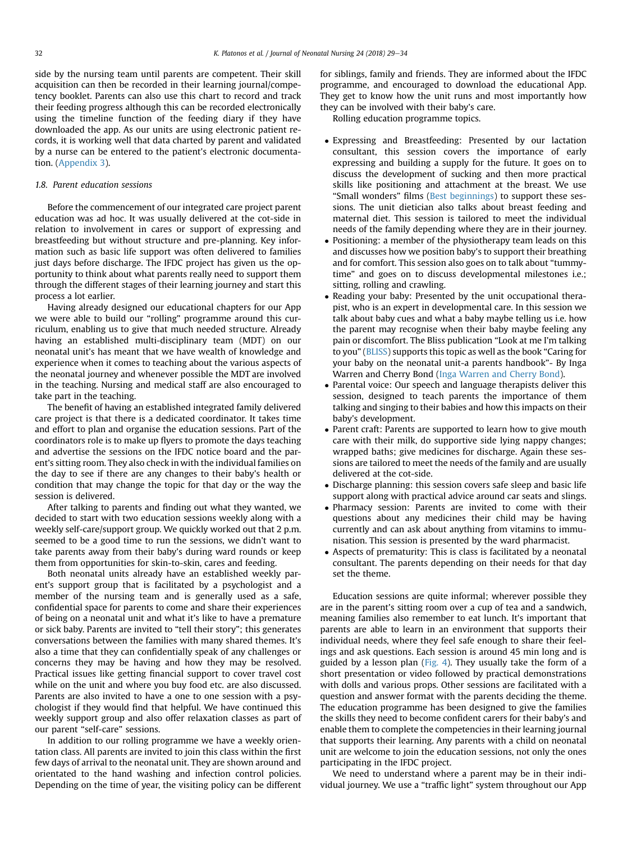side by the nursing team until parents are competent. Their skill acquisition can then be recorded in their learning journal/competency booklet. Parents can also use this chart to record and track their feeding progress although this can be recorded electronically using the timeline function of the feeding diary if they have downloaded the app. As our units are using electronic patient records, it is working well that data charted by parent and validated by a nurse can be entered to the patient's electronic documentation. (Appendix 3).

## 1.8. Parent education sessions

Before the commencement of our integrated care project parent education was ad hoc. It was usually delivered at the cot-side in relation to involvement in cares or support of expressing and breastfeeding but without structure and pre-planning. Key information such as basic life support was often delivered to families just days before discharge. The IFDC project has given us the opportunity to think about what parents really need to support them through the different stages of their learning journey and start this process a lot earlier.

Having already designed our educational chapters for our App we were able to build our "rolling" programme around this curriculum, enabling us to give that much needed structure. Already having an established multi-disciplinary team (MDT) on our neonatal unit's has meant that we have wealth of knowledge and experience when it comes to teaching about the various aspects of the neonatal journey and whenever possible the MDT are involved in the teaching. Nursing and medical staff are also encouraged to take part in the teaching.

The benefit of having an established integrated family delivered care project is that there is a dedicated coordinator. It takes time and effort to plan and organise the education sessions. Part of the coordinators role is to make up flyers to promote the days teaching and advertise the sessions on the IFDC notice board and the parent's sitting room. They also check in with the individual families on the day to see if there are any changes to their baby's health or condition that may change the topic for that day or the way the session is delivered.

After talking to parents and finding out what they wanted, we decided to start with two education sessions weekly along with a weekly self-care/support group. We quickly worked out that 2 p.m. seemed to be a good time to run the sessions, we didn't want to take parents away from their baby's during ward rounds or keep them from opportunities for skin-to-skin, cares and feeding.

Both neonatal units already have an established weekly parent's support group that is facilitated by a psychologist and a member of the nursing team and is generally used as a safe, confidential space for parents to come and share their experiences of being on a neonatal unit and what it's like to have a premature or sick baby. Parents are invited to "tell their story"; this generates conversations between the families with many shared themes. It's also a time that they can confidentially speak of any challenges or concerns they may be having and how they may be resolved. Practical issues like getting financial support to cover travel cost while on the unit and where you buy food etc. are also discussed. Parents are also invited to have a one to one session with a psychologist if they would find that helpful. We have continued this weekly support group and also offer relaxation classes as part of our parent "self-care" sessions.

In addition to our rolling programme we have a weekly orientation class. All parents are invited to join this class within the first few days of arrival to the neonatal unit. They are shown around and orientated to the hand washing and infection control policies. Depending on the time of year, the visiting policy can be different for siblings, family and friends. They are informed about the IFDC programme, and encouraged to download the educational App. They get to know how the unit runs and most importantly how they can be involved with their baby's care.

Rolling education programme topics.

- Expressing and Breastfeeding: Presented by our lactation consultant, this session covers the importance of early expressing and building a supply for the future. It goes on to discuss the development of sucking and then more practical skills like positioning and attachment at the breast. We use "Small wonders" films [\(Best beginnings\)](#page-5-0) to support these sessions. The unit dietician also talks about breast feeding and maternal diet. This session is tailored to meet the individual needs of the family depending where they are in their journey.
- Positioning: a member of the physiotherapy team leads on this and discusses how we position baby's to support their breathing and for comfort. This session also goes on to talk about "tummytime" and goes on to discuss developmental milestones i.e.; sitting, rolling and crawling.
- Reading your baby: Presented by the unit occupational therapist, who is an expert in developmental care. In this session we talk about baby cues and what a baby maybe telling us i.e. how the parent may recognise when their baby maybe feeling any pain or discomfort. The Bliss publication "Look at me I'm talking to you" [\(BLISS](#page-5-0)) supports this topic as well as the book "Caring for your baby on the neonatal unit-a parents handbook"- By Inga Warren and Cherry Bond [\(Inga Warren and Cherry Bond\)](#page-5-0).
- Parental voice: Our speech and language therapists deliver this session, designed to teach parents the importance of them talking and singing to their babies and how this impacts on their baby's development.
- Parent craft: Parents are supported to learn how to give mouth care with their milk, do supportive side lying nappy changes; wrapped baths; give medicines for discharge. Again these sessions are tailored to meet the needs of the family and are usually delivered at the cot-side.
- Discharge planning: this session covers safe sleep and basic life support along with practical advice around car seats and slings.
- Pharmacy session: Parents are invited to come with their questions about any medicines their child may be having currently and can ask about anything from vitamins to immunisation. This session is presented by the ward pharmacist.
- Aspects of prematurity: This is class is facilitated by a neonatal consultant. The parents depending on their needs for that day set the theme.

Education sessions are quite informal; wherever possible they are in the parent's sitting room over a cup of tea and a sandwich, meaning families also remember to eat lunch. It's important that parents are able to learn in an environment that supports their individual needs, where they feel safe enough to share their feelings and ask questions. Each session is around 45 min long and is guided by a lesson plan [\(Fig. 4](#page-4-0)). They usually take the form of a short presentation or video followed by practical demonstrations with dolls and various props. Other sessions are facilitated with a question and answer format with the parents deciding the theme. The education programme has been designed to give the families the skills they need to become confident carers for their baby's and enable them to complete the competencies in their learning journal that supports their learning. Any parents with a child on neonatal unit are welcome to join the education sessions, not only the ones participating in the IFDC project.

We need to understand where a parent may be in their individual journey. We use a "traffic light" system throughout our App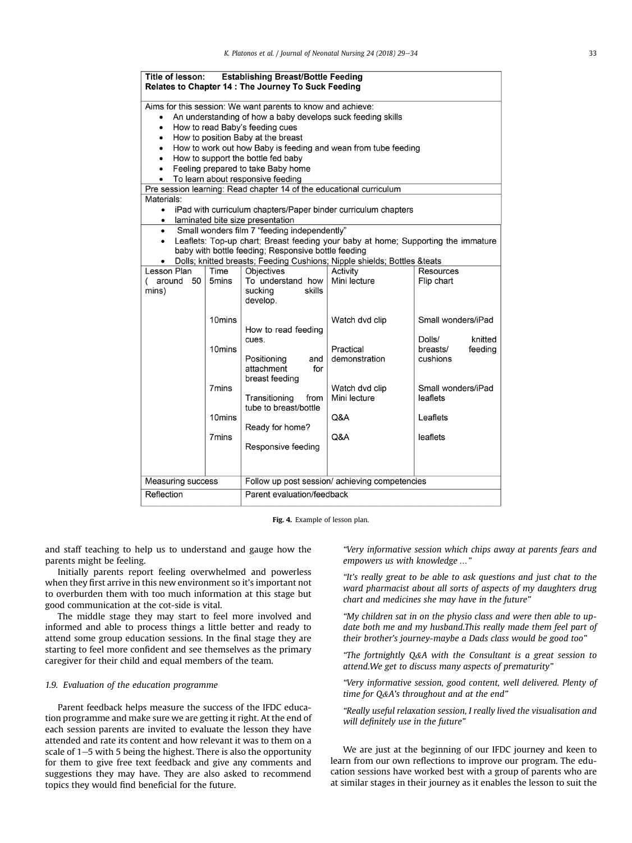<span id="page-4-0"></span>

| <b>Establishing Breast/Bottle Feeding</b><br>Title of lesson:<br>Relates to Chapter 14 : The Journey To Suck Feeding                                                                                                                                                                                                                                                                                                                                                                                                                                                                                                                                                                                                                                                                                                                     |                                                                                                                                 |                                                                  |                                |                                                      |  |  |  |  |  |
|------------------------------------------------------------------------------------------------------------------------------------------------------------------------------------------------------------------------------------------------------------------------------------------------------------------------------------------------------------------------------------------------------------------------------------------------------------------------------------------------------------------------------------------------------------------------------------------------------------------------------------------------------------------------------------------------------------------------------------------------------------------------------------------------------------------------------------------|---------------------------------------------------------------------------------------------------------------------------------|------------------------------------------------------------------|--------------------------------|------------------------------------------------------|--|--|--|--|--|
| Aims for this session: We want parents to know and achieve:<br>An understanding of how a baby develops suck feeding skills<br>$\bullet$<br>How to read Baby's feeding cues<br>$\bullet$<br>How to position Baby at the breast<br>٠<br>How to work out how Baby is feeding and wean from tube feeding<br>$\bullet$<br>How to support the bottle fed baby<br>٠<br>Feeling prepared to take Baby home<br>$\bullet$<br>To learn about responsive feeding<br>Pre session learning: Read chapter 14 of the educational curriculum<br>Materials:<br>iPad with curriculum chapters/Paper binder curriculum chapters<br>$\bullet$<br>laminated bite size presentation<br>$\bullet$<br>Small wonders film 7 "feeding independently"<br>$\bullet$<br>Leaflets: Top-up chart; Breast feeding your baby at home; Supporting the immature<br>$\bullet$ |                                                                                                                                 |                                                                  |                                |                                                      |  |  |  |  |  |
|                                                                                                                                                                                                                                                                                                                                                                                                                                                                                                                                                                                                                                                                                                                                                                                                                                          | baby with bottle feeding; Responsive bottle feeding<br>Dolls; knitted breasts; Feeding Cushions; Nipple shields; Bottles &teats |                                                                  |                                |                                                      |  |  |  |  |  |
| Lesson Plan<br>50<br>( around<br>mins)                                                                                                                                                                                                                                                                                                                                                                                                                                                                                                                                                                                                                                                                                                                                                                                                   | Time<br>5mins                                                                                                                   | Objectives<br>To understand how<br>sucking<br>skills<br>develop. | Activity<br>Mini lecture       | Resources<br>Flip chart                              |  |  |  |  |  |
|                                                                                                                                                                                                                                                                                                                                                                                                                                                                                                                                                                                                                                                                                                                                                                                                                                          | 10mins                                                                                                                          | How to read feeding                                              | Watch dvd clip                 | Small wonders/iPad                                   |  |  |  |  |  |
|                                                                                                                                                                                                                                                                                                                                                                                                                                                                                                                                                                                                                                                                                                                                                                                                                                          | 10mins                                                                                                                          | cues.<br>Positioning<br>and<br>attachment<br>for                 | Practical<br>demonstration     | knitted<br>Dolls/<br>breasts/<br>feeding<br>cushions |  |  |  |  |  |
|                                                                                                                                                                                                                                                                                                                                                                                                                                                                                                                                                                                                                                                                                                                                                                                                                                          | 7mins                                                                                                                           | breast feeding<br>Transitioning<br>from<br>tube to breast/bottle | Watch dvd clip<br>Mini lecture | Small wonders/iPad<br>leaflets                       |  |  |  |  |  |
|                                                                                                                                                                                                                                                                                                                                                                                                                                                                                                                                                                                                                                                                                                                                                                                                                                          | 10 <sub>mins</sub>                                                                                                              | Ready for home?                                                  | Q&A                            | Leaflets                                             |  |  |  |  |  |
|                                                                                                                                                                                                                                                                                                                                                                                                                                                                                                                                                                                                                                                                                                                                                                                                                                          | 7 <sub>mins</sub>                                                                                                               | Responsive feeding                                               | Q&A                            | leaflets                                             |  |  |  |  |  |
|                                                                                                                                                                                                                                                                                                                                                                                                                                                                                                                                                                                                                                                                                                                                                                                                                                          | Follow up post session/achieving competencies<br><b>Measuring success</b>                                                       |                                                                  |                                |                                                      |  |  |  |  |  |
| Reflection<br>Parent evaluation/feedback                                                                                                                                                                                                                                                                                                                                                                                                                                                                                                                                                                                                                                                                                                                                                                                                 |                                                                                                                                 |                                                                  |                                |                                                      |  |  |  |  |  |

Fig. 4. Example of lesson plan.

and staff teaching to help us to understand and gauge how the parents might be feeling.

Initially parents report feeling overwhelmed and powerless when they first arrive in this new environment so it's important not to overburden them with too much information at this stage but good communication at the cot-side is vital.

The middle stage they may start to feel more involved and informed and able to process things a little better and ready to attend some group education sessions. In the final stage they are starting to feel more confident and see themselves as the primary caregiver for their child and equal members of the team.

# 1.9. Evaluation of the education programme

Parent feedback helps measure the success of the IFDC education programme and make sure we are getting it right. At the end of each session parents are invited to evaluate the lesson they have attended and rate its content and how relevant it was to them on a scale of  $1-5$  with 5 being the highest. There is also the opportunity for them to give free text feedback and give any comments and suggestions they may have. They are also asked to recommend topics they would find beneficial for the future.

"Very informative session which chips away at parents fears and empowers us with knowledge …"

"It's really great to be able to ask questions and just chat to the ward pharmacist about all sorts of aspects of my daughters drug chart and medicines she may have in the future"

"My children sat in on the physio class and were then able to update both me and my husband.This really made them feel part of their brother's journey-maybe a Dads class would be good too"

"The fortnightly Q&A with the Consultant is a great session to attend.We get to discuss many aspects of prematurity"

"Very informative session, good content, well delivered. Plenty of time for Q&A's throughout and at the end"

"Really useful relaxation session, I really lived the visualisation and will definitely use in the future"

We are just at the beginning of our IFDC journey and keen to learn from our own reflections to improve our program. The education sessions have worked best with a group of parents who are at similar stages in their journey as it enables the lesson to suit the